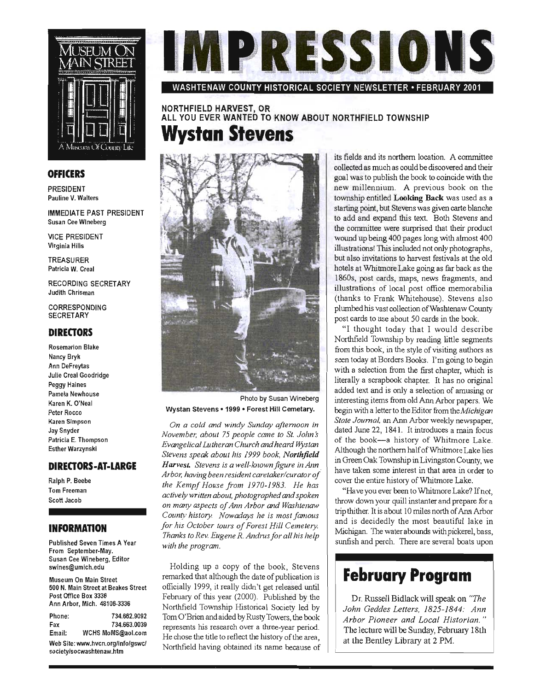

#### **OFFICERS**

PRESIDENT Pauline V. Walters

IMMEDIATE PAST PRESIDENT Susan Cee Wineberg

VICE PRESIDENT Virginia Hills

TREASURER Patricia W. Creal

RECORDING SECRETARY Judith Chrisman

CORRESPONDING **SECRETARY** 

#### **DIRECTORS**

Rosemarion Blake Nancy Bryk Ann OeFreytas Julie Creal Goodridge Peggy Haines Pamela Newhouse Karen K. O'Neal Peter Rocco Karen Simpson Jay Snyder Patricia E. Thompson Esther Warzynskl

#### **DIRECTORS-AT-LARGE**

Ralph P. Beebe Tom Freeman Scott Jacob

#### **INFORMATION**

Published Seven Times A Year From September-May. Susan Cee Wineberg, Editor swines@umich.edu

Museum On Main Street 500 N. Main Street at Beakes Street Post Office Box 3336 Ann Arbor, Mich. 48106·3336

| Phone:                            | 734.662.9092      |
|-----------------------------------|-------------------|
| Fax                               | 734.663.0039      |
| Email:                            | WCHS MoMS@aol.com |
| Web Site: www.hvcn.org/info/gswc/ |                   |

society/socwashtenaw.htm



WASHTENAW COUNTY HISTORICAL SOCIETY NEWSLETTER· FEBRUARY 2001

NORTHFIELD HARVEST, OR ALL YOU EVER WANTED TO KNOW ABOUT NORTHFIELD TOWNSHIP **Wystan Stevens** 



Photo by Susan Wineberg Wystan Stevens • 1999 • Forest Hill Cemetary.

*On a cold and windy Sunday afternoon in November, about* 75 *people came to St. John s Evangelical Lutheran Church and heard ffYstan Stevens speak about his* 1999 *book, Northfield Harvest. Stevens is a well-known figure in Ann , Arbor, having been resident caretakerlcurator of the Kempf House from 1970-1983. He has actively written about, photographed and spoken on many aspects of Ann Arbor and Washtenaw County history. Nowadays he is most famous for his October tours of Forest Hill Cemetery. Thanks to Rev. Eugene R. Andnls for all his help with the program.* 

Holding up a copy of the book, Stevens remarked that although the date of publication is officially 1999, it really didn't get released until February of this year (2000). Published by the Northfield Township Historical Society led by Tom O'Brien and aided by Rusty Towers, the book represents his research over a three-year period. He chose the title to reflect the history of the area, Northfield having obtained its name because of its fields and its northern location. A committee collected as much as could be discovered and their goal was to publish the book to coincide with the new millennium. A previous book on the township entitled Looking Back was used as a starting point, but Stevens was given carte blanche to add and expand this text. Both Stevens and the committee were surprised that their product wound up being 400 pages long with almost 400 illustrations! This included not only photographs, but also invitations to harvest festivals at the old hotels at Whitmore Lake going as far back as the 1860s, post cards, maps, news fragments, and illustrations of local post office memorabilia (thanks to Frank Whitehouse). Stevens also plumbed his vast collection of Washtenaw County post cards to use about 50 cards in the book.

"I thought today that I would describe Northfield Township by reading little segments from this book, in the style of visiting authors as seen today at Borders Books. I'm going to begin with a selection from the first chapter, which is literally a scrapbook chapter. It has no original added text and is only a selection of amusing or interesting items from old Ann Arbor papers. We begin with a letter to the Editor from *theMichigan State Journal,* an Ann Arbor weekly newspaper, dated June 22, 1841. It introduces a main focus of the book-a history of Whitmore Lake. Although the northern half of Whitmore Lake lies in Green Oak Township in Livingston County, we have taken some interest in that area in order to cover the entire history of Whitmore Lake.

"Have you ever been to Whitmore Lake? If not, throw down your quill instanter and prepare for a trip thither. It is about 10 miles north of Ann Arbor and is decidedly the most beautiful lake in Michigan. The water abounds with pickerel, bass, sunfish and perch. There are several boats upon

### **February Program**

Dr. Russell Bidlack will speak on *"The John Geddes Letters,* 1825-1844: *Ann Arbor Pioneer and Local Historian. "*  The lecture will be Sunday, February 18th at the Bentley Library at 2 PM.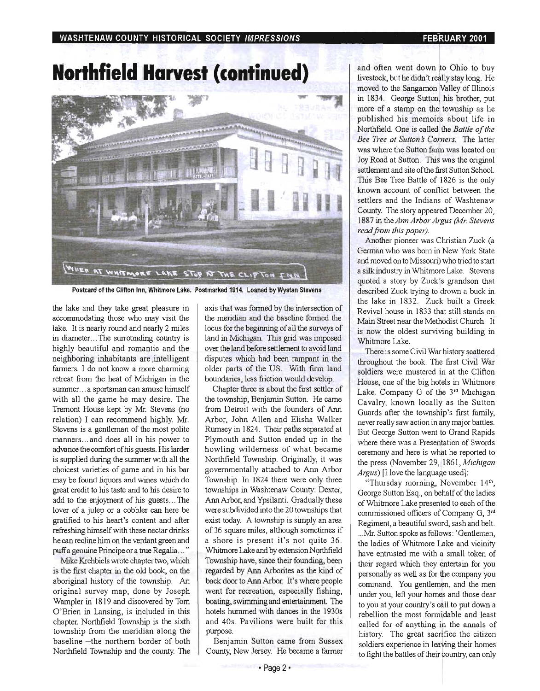# **Northfield** Harvest (continued)



Postcard of the Clifton Inn, Whitmore Lake. Postmarked 1914. Loaned by Wystan Stevens

 $\alpha$  accommodating those who may visit the  $\alpha$  the meridian and the baseline formed the lake. It is nearly round and nearly 2 miles  $\parallel$  locus for the beginning of all the surveys of in diameter... The surrounding country is land in Michigan. This grid was imposed highly beautiful and romantic and the  $\parallel$  over the land before settlement to avoid land neighboring inhabitants are intelligent disputes which had been rampant in the farmers. I do not know a more charming older parts of the US. With firm land retreat from the heat of Michigan in the | boundaries, less friction would develop. summer... a sportsman can amuse himself | Chapter three is about the first settler of with all the game he may desire. The  $\parallel$  the township, Benjamin Sutton. He came Tremont House kept by Mr. Stevens (no  $\parallel$  from Detroit with the founders of Ann relation) I can recommend highly. Mr.  $\parallel$  Arbor, John Allen and Elisha Walker Stevens is a gentleman of the most polite | Rumsey in 1824. Their paths separated at manners... and does all in his power to  $\parallel$  Plymouth and Sutton ended up in the advance the comfort of his guests. His larder howling wilderness of what became is supplied during the summer with all the  $\parallel$  Northfield Township. Originally, it was choicest varieties of game and in his bar  $\parallel$  governmentally attached to Ann Arbor may be found liquors and wines which do  $\parallel$  Township. In 1824 there were only three great credit to his taste and to his desire to  $\parallel$  townships in Washtenaw County: Dexter, add to the enjoyment of his guests... The  $\parallel$  Ann Arbor, and Ypsilanti. Gradually these lover of a julep or a cobbler can here be  $\parallel$  were subdivided into the 20 townships that gratified to his heart's content and after  $\parallel$  exist today. A township is simply an area refreshing himself with these nectar drinks  $\int$  of 36 square miles, although sometimes if he can recline him on the verdant green and  $\parallel$  a shore is present it's not quite 36. puff a genuine Principe or a true Regalia ... " Whitmore Lake and by extension Northfield

is the first chapter in the old book, on the regarded by Ann Arborites as the kind of aboriginal history of the township. An back door to Ann Arbor. It's where people original survey map, done by Joseph  $\parallel$  went for recreation, especially fishing, Wampler in 1819 and discovered by Tom  $\parallel$  boating, swimming and entertainment. The O'Brien in Lansing, is included in this | hotels hummed with dances in the 1930s chapter. Northfield Township is the sixth  $\parallel$  and 40s. Pavilions were built for this township from the meridian along the purpose. baseline-the northern border of both | Benjamin Sutton came from Sussex Northfield Township and the county. The County, New Jersey. He became a farmer

the lake and they take great pleasure in  $\parallel$  axis that was formed by the intersection of

Mike Krehbiels wrote chapter two, which Township have, since their founding, been

and often went down to Ohio to buy livestock, but he didn't really stay long. He moved to the Sangamon Valley of Illinois in 1834. George Sutton, his brother, put more of a stamp on the township as he published his memoirs about life in Northfield. One is called the *Battle of the. Bee Tree at Sutton s Comers.* The latter was where the Sutton farm was located on Joy Road at Sutton. This was the original settlement and site of the first Sutton School. This Bee Tree Battle of 1826 is the only known account of conflict between the settlers and the Indians of Washtenaw County. The story appeared December 20, 1887 in the *Ann Arbor Argus (Mr. Stevens read from this paper).* 

Another pioneer was Christian Zuck (a Gennan who was born in New York State and moved on to Missouri) who tried to start a silk industry in Whitmore Lake. Stevens quoted a story by Zuck's grandson that described Zuck trying to drown a buck in the lake in 1832. Zuck built a Greek Revival house in 1833 that still stands on Main Street near the Methodist Church. It is now the oldest surviving building in Whitmore Lake.

There is some Civil War history scattered throughout the book. The first Civil War soldiers were mustered in at the Clifton House, one of the big hotels in Whitmore Lake. Company G of the 3rd Michigan Cavalry, known locally as the Sutton Guards after the township's first family, never really saw action in any major battles. But George Sutton went to Grand Rapids where there was a Presentation of Swords ceremony and here is what he reported to the press (November 29, 1861, *Michigan Argus*) [I love the language used]:

"Thursday morning, November 14<sup>th</sup>, George Sutton Esq., on behalf of the ladies of Whitmore Lake presented to each of the commissioned officers of Company G, 3rd Regiment, a beautiful sword, sash and belt. .. . Mr. Sutton spoke as follows: 'Gentlemen, the ladies of Whitmore Lake and vicinity have entrusted me with a small token of their regard which they entertain for you personally as well as for the company you command. You gentlemen, and the men under you, left your homes and those dear to you at your country's call to put down a rebellion the most formidable and least called for of anything in the annals of history. The great sacrifice the citizen soldiers experience in leaving their homes to fight the battles of their country, can only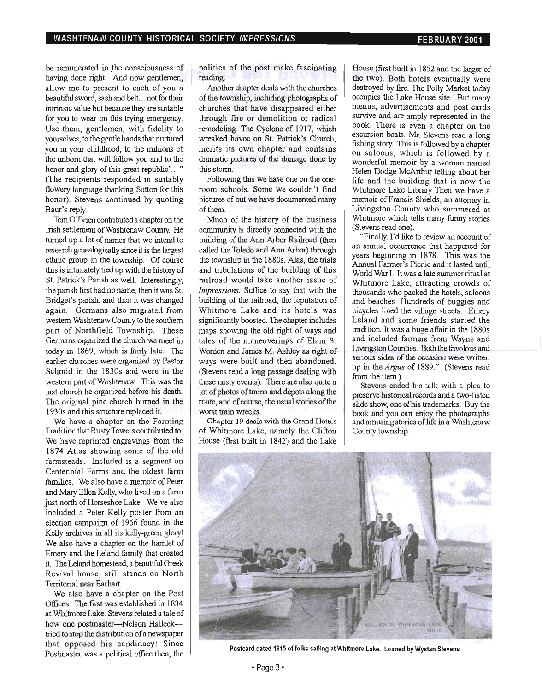be remunerated in the consciousness of hemunerated in the consciousness of  $\gamma$  ving done right. And now gentiemen, allow me to present to each of you a<br>beautiful sword, sash and belt... not for their atum sword, sash and ben... not for their further value but because they are suitable. for you to wear on this trying emergency. Use them, gentlemen, with fidelity to yourselves, to the gentle hands that nurtured you in your childhood, to the millions of the unborn that will follow you and to the honor and glory of this great republic'..." (The recipients responded in suitably flowery language thanking Sutton for this honor). Stevens continued by quoting<br>Baur's reply.  $S$  reply.

Iom  $\sigma$  settlement of the condition of a chapter of the  $\sim$ Irish settlement of Washtenaw County. He turned up a lot of names that we intend to research genealogically since it is the largest ethnic group in the township. Of course this is intimately tied up with the history of St. Patrick's Parish as well. Interestingly, the parish first had no name, then it was St. Bridget's parish, and then it was changed again. Germans also migrated from western Washtenaw County to the southern part of Northfield Township. These Germans organized the church we meet in today in 1869, which is fairly late. The earlier churches were organized by Pastor<br>Schmid in the 1830s and were in the  $\frac{m}{m}$  is  $\frac{m}{m}$ . The Toyos and well in the  $l$  estern part or washield before his was the last church he organized before his death. The original pine church burned in the 1930s and this structure replaced it.

We have a chapter on the Farming Tradition that Rusty Towers contributed to. We have reprinted engravings from the 1874 Atlas showing some of the old farmsteads. Included is a segment on Centennial Farms and the oldest farm families. We also have a memoir of Peter and Mary Ellen Kelly, who lived on a farm just north of Horseshoe Lake. We've also included a Peter Kelly poster from an election campaign of 1966 found in the Kelly archives in all its kelly-green glory! We also have a chapter on the hamlet of Emery and the Leland family that created it. The Leland homestead, a beautiful Greek Revival house, still stands on North Territorial near Earhart.

We also have a chapter on the Post Offices. The first was established in 1834 at Whitmore Lake. Stevens related a tale of how one postmaster-Nelson Hallecktried to stop the distribution of a newspaper that opposed his candidacy! Since<br>Postmaster was a political office then, the politics of the post make fascinating nues o Another chapter deals with the churches

Another chapter deals with the churches of the township, including photographs of churches that have disappeared either through fire or demolition or radical remodeling. The Cyclone of 1917, which wreaked havoc on St. Patrick's Church. merits its own chapter and contains dramatic pictures of the damage done by this storm. Follow.ing this we have one on the one-

ronowing this we have one on the oneroom schools. Some we couldn't find pictures of but we have documented many<br>of them.  $\mathsf{em}$ .

 $\frac{1}{2}$  connection is directed with the construction of the misture with the  $\frac{1}{2}$ community is directly connected with the building of the Ann Arbor Railroad (then called the Toledo and Ann Arbor) through the township in the 1880s. Alas, the trials and tribulations of the building of this<br>railroad would take another issue of *Impressions* of the same that with the same of  $\int$  $b$ unding  $b$ unding the railroad of the reputation of  $a$ building of the railroad, the reputation of Whitmore Lake and its hotels was significantly boosted. The chapter includes maps showing the old right of ways and tales of the maneuverings of Elam S. Worden and James M. Ashley as right of ways were built and then abandoned. (Stevens read a long passage dealing with these nasty events). There are also quite a lot of photos of trains and depots along the route, and of course, the usual stories of the<br>worst train wrecks.  $\Gamma$  train with the Grand Hotels with the  $\Gamma$ 

Chapter 19 deals with the Grand Hotels  $\vert$ of Whitmore Lake, namely the Clifton<br>House (first built in 1842) and the Lake

 $\frac{1}{2}$  in  $\frac{1}{2}$  below and the larger of larger of larger of larger of larger of larger of larger of larger of larger of larger of larger of larger of larger of larger of larger of larger of larger of larger of larg buse (instructual 1852 and the larger of the two). Both hotels eventually were destroyed by fire. The Polly Market today occupies the Lake House site. But many menus, advertisements and post cards survive and are amply represented in the book. There is even a chapter on the excursion boats. Mr. Stevens read a long fishing story. This is followed by a chapter on saloons, which is followed by a wonderful memoir by a woman named Helen Dodge McArthur telling about her life and the building that is now the Whitmore Lake Library Then we have a memoir of Francis Shields, an attorney in Livingston County who summered at Whitmore which tells many funny stories<br>(Stevens read one).  $F$ inally, 1'd like to review and  $F$  and  $F$  and  $F$  and  $F$  and  $F$  and  $F$  and  $F$  and  $F$  and  $F$  and  $F$  and  $F$  and  $F$  and  $F$  and  $F$  and  $F$  and  $F$  and  $F$  and  $F$  and  $F$  and  $F$  and  $F$  and  $F$  and  $F$  and  $F$ 

 $r$  rinally,  $r$  d like to review an account of an annual occurrence that happened for years beginning in 1878. This was the Annual Farmer's Picnic and it lasted until World War I. It was a late summer ritual at Whitmore Lake, attracting crowds of thousands who packed the hotels, saloons and beaches. Hundreds of buggies and bicycles lined the village streets. Emery Leland and some friends started the tradition. It was a huge affair in the 1880s and included farmers from Wayne and Livingston Counties. Both the frivolous and serious sides of the occasion were written up in the *Argus* of 1889." (Stevens read from the item.)  $\frac{S}{S}$  is the number of  $\frac{S}{S}$  and  $\frac{S}{S}$  and  $\frac{S}{S}$  are pleased to  $\frac{S}{S}$ 

stevens ended his talk with a plea to preserve historical records and a two-fisted slide show, one of his trademarks. Buy the book and you can enjoy the photographs and amusing stories of life in a Washtenaw<br>County township.



Postcard dated 1915 of folks sailing at Whitmore Lake. Loaned by Wystan Stevens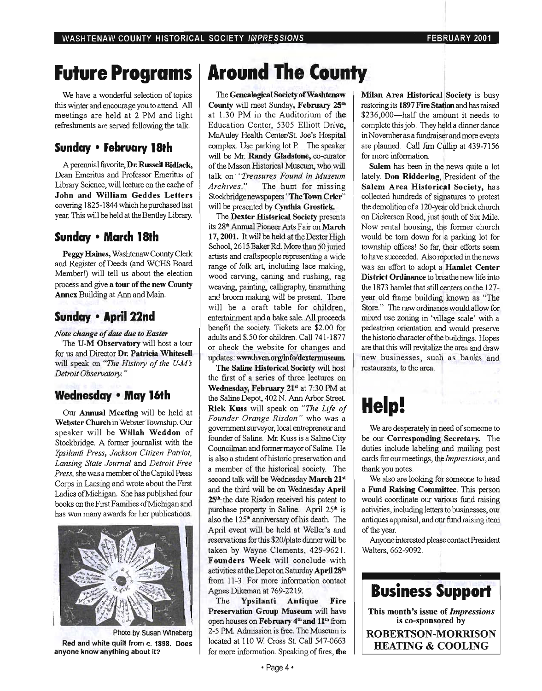## **Future Programs**

We have a wonderful selection of topics this winter and encourage you to attend. All meetings are held at 2 PM and light refreshments are served following the talk.

#### **Sunday • February 18th**

A perennial favorite, Dr. Russell Bidlack, Dean Emeritus and Professor Emeritus of Library Science, will lecture on the cache of John and William Geddes Letters covering 1825-1844 which he purchased last year. This will be held at the Bentley Library.

#### **Sunday • March 18th**

Peggy Haines, WashtenawCounty Clerk and Register of Deeds (and WCHS Board Member!) will tell us about the election process and give a tour of the new County Annex Building at Ann and Main.

#### **Sunday • April 22nd**

*Note change of date* due *to Easter*  The U-M Observatory will host a tour for us and Director Dr. Patricia Whitesell will speak on *"The History of the U-M's Detroit Observatory. "* 

#### **Wednesday • May 16th**

Our Annual Meeting will be held at Webster Church in Webster Township. Our speaker will be Wiliah Weddon of Stockbridge. A former journalist with the *Ypsilanti Press, Jackson Citizen Patriot, Lansing State Journal* and *Detroit Free Press,* she was a member of the Capitol Press Corps in Lansing and wrote about the First Ladies ofMichigan. She has published four books on the First Families ofMichigan and has won many awards for her publications.



Photo by Susan Wineberg Red and white quilt from c. 1898. Does anyone know anything about it?

# **Around The County**

The Genealogical Society of Washtenaw County will meet Sunday, February 25<sup>th</sup> at 1:30 PM in the Auditorium of the Education Center, 5305 Elliott Drive, McAuley Health *Center/St.* Joe's Hospital complex. Use parking lot P. The speaker will be Mr. Randy Gladstone, co-curator of the Mason Historical Museum, who will talk on "*Treasures Found in Museum Archives. "* The hunt for missing Stockbridge newspapers "The Town Crier" will be presented by Cynthia Grostick.

The Dexter Historical Society presents its 28<sup>th</sup> Annual Pioneer Arts Fair on March 17, 2001. It will be held at the Dexter High School, 2615 Baker Rd. More than 50 juried artists and craftspeople representing a wide range of folk art, including lace making, wood carving, caning and rushing, rag weaving, painting, calligraphy, tinsmithing and broom making will be present. There will be a craft table for children, entertainment and a bake sale. All proceeds benefit the society. Tickets are \$2.00 for adults and \$.50 for children. Call 741-1877 or check the website for changes and updates: www.hvcn.org/info/dextermuseum.

The Saline Historical Society will host the first of a series of three lectures on Wednesday, February 21st at 7:30 PM at the Saline Depot, 402 N. Ann Arbor Street. Rick Kuss will speak on *"The Life of Founder Orange Risdon "* who was a government surveyor, local entrepreneur and founder of Saline. Mr. Kuss is a Saline City Councihnan and former mayor of Saline. He is also a student of historic preservation and a member of the historical society. The second talk will be Wednesday March 21st and the third will be on Wednesday April 25<sup>th</sup> the date Risdon received his patent to purchase property in Saline. April 25<sup>th</sup> is also the 125<sup>th</sup> anniversary of his death. The April event will be held at Weller's and reservations for this \$20/plate dinner will be taken by Wayne Clements, 429-9621. Founders Week will conclude with activities at the Depot on Saturday April 28th from 11-3. For more information contact Agnes Dikeman at 769-2219.

The Ypsilanti Antique Fire Preservation Group Museum will have open houses on February 4<sup>th</sup> and 11<sup>th</sup> from 2-5 PM. Admission is free. The Museum is located at 110 W. Cross St. Call 547-0663 for more information. Speaking of fires, the

Milan Area Historical Society is busy restoring its 1897 Fire Station and has raised \$236,000-half the amount it needs to complete this job. They held a dinner dance in November as a fimdraiser and more events are planned. Call Jim Cullip at 439-7156 for more information.

Salem has been in the news quite a lot lately. Don Riddering, President of the Salem Area Historical Society, has collected hundreds of signatures to protest the demolition of a l20-year old brick church on Dickerson Road, just south of Six Mile. Now rental housing, the former church would be tom down for a parking lot for township offices! So far, their efforts seem to have succeeded. Also reported in the news was an effort to adopt a Hamlet Center District Ordinance to breathe new life into the 1873 hamlet that still centers on the 127 year old frame building known as "The Store." The new ordinance would allow for mixed use zoning in 'village scale' with a pedestrian orientation and would preserve the historic character of the buildings. Hopes are that this will revitalize the area and draw new businesses, such as banks and restaurants, to the area.

# **Help!**

We are desperately in need of someone to be our Corresponding Secretary. The duties include labeling and mailing post cards for our meetings, the *Impressions,* and thank you notes.

We also are looking for someone to head a Fund Raising Committee. This person would coordinate our various fund raising activities, including letters to businesses, our antiques appraisal, and our fund raising item of the year.

Anyone interested please contact President Walters, 662-9092.

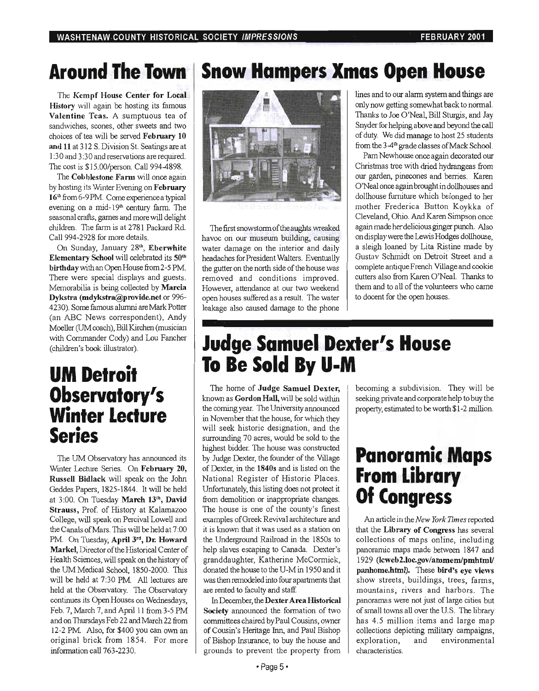## **Around The.Town**

The Kempf House Center for Local History will again be hosting its famous Valentine Teas. A sumptuous tea of sandwiches, scones, other sweets and two choices of tea will be served February 10 and 11 at 312 S. Division St. Seatings are at 1:30 and 3:30 and reservations are required. The cost is \$IS.OO/person. Call 994-4898.

The Cobblestone Farm will once again by hosting its Winter Evening on February 16<sup>th</sup> from 6-9 PM. Come experience a typical evening on a mid-19<sup>th</sup> century farm. The seasonal crafts, games and more will delight children. The farm is at 2781 Packard Rd. Call 994-2928 for more details.

On Sunday, January 28th, Eberwhite Elementary School will celebrated its 50<sup>th</sup> birthday with an Open House from 2-S PM There were special displays and guests. Memorabilia is being collected by Marcia Dykstra (mdykstra@provide.net or 996- 4230). Some famous alumni are Mark Potter (an ABC News correspondent), Andy Moeller CUM coach), Bill Kirchen (musician with Commander Cody) and Lou Fancher (children's book illustrator).

### **UM Detroit Observatory's Winter Lecture Series**

The UM Observatory has announced its Winter Lecture Series. On February 20, Russell Bidlack will speak on the John Geddes Papers, 1825-1844. It will be held at 3:00. On Tuesday March 13th, David Strauss, Prof. of History at Kalamazoo College, will speak on Percival Lowell and the Canals of Mars. This will be held at 7 :00 PM. On Tuesday, April 3rd, Dr. Howard Markel, Director of the Historical Center of Health Sciences, will speak on the history of the UM Medical School, 1850-2000. This will be held at 7:30 PM. All lectures are held at the Observatory. The Observatory continues its OpenHouses on Wednesdays, Feb. 7, March 7, and April 11 from 3-5 PM and on Thursdays Feb 22 and March 22 from 12-2 PM. Also, for \$400 you can own an original brick from 1854. For more information call 763-2230.

## **Snow Hampers Xmas Open House**



The first snowstorm of the aughts wreaked havoc on our museum building, causing water damage on the interior and daily headaches for President Walters. Eventually the gutter on the north side of the house was removed and conditions improved. However, attendance at our two weekend open houses suffered as a result. The water leakage also caused damage to the phone lines and to our alarm system and things are only now getting somewhat back to normaL Thanks to Joe O'Neal, Bill Sturgis, and Jay Snyder for helping above and beyond the call of duty. We did manage to host 25 students from the 3-4<sup>th</sup> grade classes of Mack School.

Pam Newhouse once again decorated our Christmas tree with dried hydrangeas from our garden, pinecones and berries. Karen O'Neal once again brought in dollhouses and dollhouse furniture which belonged to her mother Frederica Button Koykka of Cleveland, Ohio. And Karen Simpson once again made her delicious ginger punch. Also on display were the Lewis Hodges dollhouse, a sleigh loaned by Lita Ristine made by Gustav Schmidt on Detroit Street and a complete antique French Village and cookie cutters also from Karen O'NeaL Thanks to them and to all of the volunteers who came to docent for the open houses.

## **Judge Samuel Dexter's House To Be Sold By U-M**

The home of Judge Samuel Dexter, known as Gordon Hall, will be sold within the coming year. The University announced in November that the house, for which they will seek historic designation, and the surrounding 70 acres, would be sold to the highest bidder. The house was constructed by Judge Dexter, the founder of the Village of Dexter, in the 1840s and is listed on the National Register of Historic Places. Unfortunately, this listing does not protect it from demolition or inappropriate changes. The house is one of the county's finest examples of Greek Revival architecture and it is known that it was used as a station on the Underground Railroad in the 1850s to help slaves escaping to Canada. Dexter's granddaughter, Katherine McCormick, donated the house to the U-M in 1950 and it was then remodeled into four apartments that are rented to faculty and staff.

In December, the Dexter Area Historical Society announced the formation of two committees chaired by Paul Cousins, owner of Cousin's Heritage Inn, and Paul Bishop of Bishop Insurance, to buy the house and grounds to prevent the property from

becoming a subdivision. They will be seeking private and corporate help to buy the property, estimated to be worth \$1 -2 million.

## **Panoramic Maps From Library Of Congress**

An article in the *New York Times* reported that the Library of Congress has several collections of maps online, including panoramic maps made between 1847 and 1929 (lcweb2.loc.gov/ammem/pmhtml/ panhome.html). These bird's eye views show streets, buildings, trees, farms, mountains, rivers and harbors. The panoramas were not just of large cities but of small towns all over the US. The library has 4.5 million items and large map collections depicting military campaigns, exploration, and environmental characteristics.